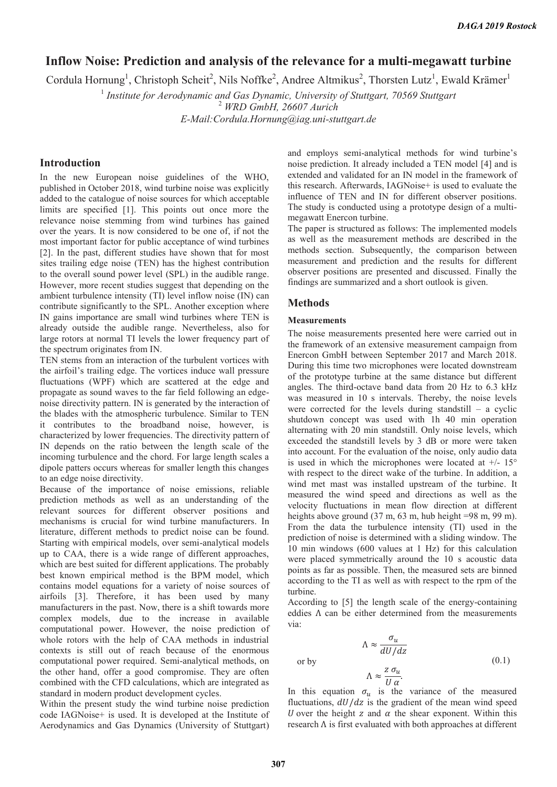# **Inflow Noise: Prediction and analysis of the relevance for a multi-megawatt turbine**

Cordula Hornung<sup>1</sup>, Christoph Scheit<sup>2</sup>, Nils Noffke<sup>2</sup>, Andree Altmikus<sup>2</sup>, Thorsten Lutz<sup>1</sup>, Ewald Krämer<sup>1</sup>

<sup>1</sup> Institute for Aerodynamic and Gas Dynamic, University of Stuttgart, 70569 Stuttgart

2  *WRD GmbH, 26607 Aurich* 

*E-Mail:Cordula.Hornung@iag.uni-stuttgart.de* 

# **Introduction**

In the new European noise guidelines of the WHO, published in October 2018, wind turbine noise was explicitly added to the catalogue of noise sources for which acceptable limits are specified [1]. This points out once more the relevance noise stemming from wind turbines has gained over the years. It is now considered to be one of, if not the most important factor for public acceptance of wind turbines [2]. In the past, different studies have shown that for most sites trailing edge noise (TEN) has the highest contribution to the overall sound power level (SPL) in the audible range. However, more recent studies suggest that depending on the ambient turbulence intensity (TI) level inflow noise (IN) can contribute significantly to the SPL. Another exception where IN gains importance are small wind turbines where TEN is already outside the audible range. Nevertheless, also for large rotors at normal TI levels the lower frequency part of the spectrum originates from IN.

TEN stems from an interaction of the turbulent vortices with the airfoil's trailing edge. The vortices induce wall pressure fluctuations (WPF) which are scattered at the edge and propagate as sound waves to the far field following an edgenoise directivity pattern. IN is generated by the interaction of the blades with the atmospheric turbulence. Similar to TEN it contributes to the broadband noise, however, is characterized by lower frequencies. The directivity pattern of IN depends on the ratio between the length scale of the incoming turbulence and the chord. For large length scales a dipole patters occurs whereas for smaller length this changes to an edge noise directivity.

Because of the importance of noise emissions, reliable prediction methods as well as an understanding of the relevant sources for different observer positions and mechanisms is crucial for wind turbine manufacturers. In literature, different methods to predict noise can be found. Starting with empirical models, over semi-analytical models up to CAA, there is a wide range of different approaches, which are best suited for different applications. The probably best known empirical method is the BPM model, which contains model equations for a variety of noise sources of airfoils [3]. Therefore, it has been used by many manufacturers in the past. Now, there is a shift towards more complex models, due to the increase in available computational power. However, the noise prediction of whole rotors with the help of CAA methods in industrial contexts is still out of reach because of the enormous computational power required. Semi-analytical methods, on the other hand, offer a good compromise. They are often combined with the CFD calculations, which are integrated as standard in modern product development cycles.

Within the present study the wind turbine noise prediction code IAGNoise+ is used. It is developed at the Institute of Aerodynamics and Gas Dynamics (University of Stuttgart)

and employs semi-analytical methods for wind turbine's noise prediction. It already included a TEN model [4] and is extended and validated for an IN model in the framework of this research. Afterwards, IAGNoise+ is used to evaluate the influence of TEN and IN for different observer positions. The study is conducted using a prototype design of a multimegawatt Enercon turbine.

The paper is structured as follows: The implemented models as well as the measurement methods are described in the methods section. Subsequently, the comparison between measurement and prediction and the results for different observer positions are presented and discussed. Finally the findings are summarized and a short outlook is given.

# **Methods**

#### **Measurements**

The noise measurements presented here were carried out in the framework of an extensive measurement campaign from Enercon GmbH between September 2017 and March 2018. During this time two microphones were located downstream of the prototype turbine at the same distance but different angles. The third-octave band data from 20 Hz to 6.3 kHz was measured in 10 s intervals. Thereby, the noise levels were corrected for the levels during standstill – a cyclic shutdown concept was used with 1h 40 min operation alternating with 20 min standstill. Only noise levels, which exceeded the standstill levels by 3 dB or more were taken into account. For the evaluation of the noise, only audio data is used in which the microphones were located at  $+/- 15^{\circ}$ with respect to the direct wake of the turbine. In addition, a wind met mast was installed upstream of the turbine. It measured the wind speed and directions as well as the velocity fluctuations in mean flow direction at different heights above ground (37 m, 63 m, hub height =98 m, 99 m). From the data the turbulence intensity (TI) used in the prediction of noise is determined with a sliding window. The 10 min windows (600 values at 1 Hz) for this calculation were placed symmetrically around the 10 s acoustic data points as far as possible. Then, the measured sets are binned according to the TI as well as with respect to the rpm of the turbine.

According to [5] the length scale of the energy-containing eddies  $\Lambda$  can be either determined from the measurements via:

$$
\Lambda \approx \frac{\sigma_u}{dU/dz}
$$
  
or by  

$$
\Lambda \approx \frac{z \sigma_u}{U \alpha}.
$$
 (0.1)

In this equation  $\sigma_u$  is the variance of the measured fluctuations,  $dU/dz$  is the gradient of the mean wind speed U over the height z and  $\alpha$  the shear exponent. Within this research  $\Lambda$  is first evaluated with both approaches at different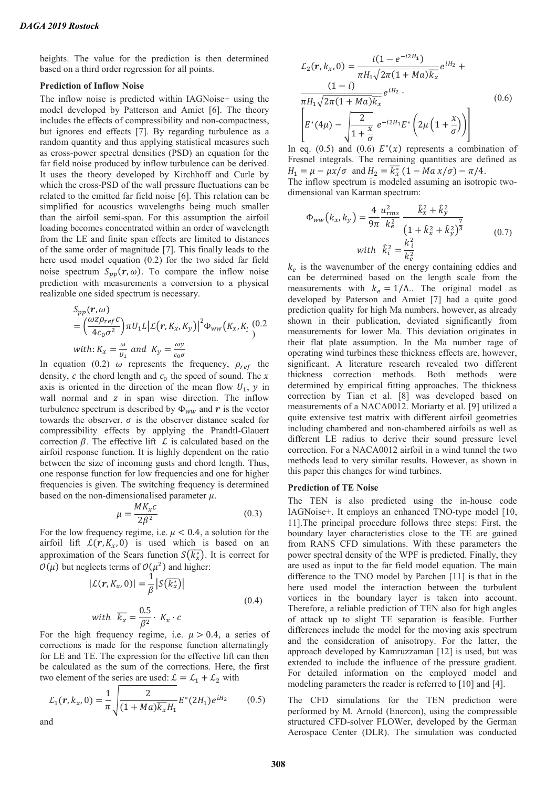heights. The value for the prediction is then determined based on a third order regression for all points.

## **Prediction of Inflow Noise**

The inflow noise is predicted within IAGNoise+ using the model developed by Patterson and Amiet [6]. The theory includes the effects of compressibility and non-compactness, but ignores end effects [7]. By regarding turbulence as a random quantity and thus applying statistical measures such as cross-power spectral densities (PSD) an equation for the far field noise produced by inflow turbulence can be derived. It uses the theory developed by Kirchhoff and Curle by which the cross-PSD of the wall pressure fluctuations can be related to the emitted far field noise [6]. This relation can be simplified for acoustics wavelengths being much smaller than the airfoil semi-span. For this assumption the airfoil loading becomes concentrated within an order of wavelength from the LE and finite span effects are limited to distances of the same order of magnitude [7]. This finally leads to the here used model equation (0.2) for the two sided far field noise spectrum  $S_{\nu}(\mathbf{r}, \omega)$ . To compare the inflow noise prediction with measurements a conversion to a physical realizable one sided spectrum is necessary.

$$
S_{pp}(\mathbf{r}, \omega)
$$
  
=  $\left(\frac{\omega z \rho_{ref} c}{4c_0 \sigma^2}\right) \pi U_1 L \left| \mathcal{L}(\mathbf{r}, K_x, K_y) \right|^2 \Phi_{ww} (K_x, K_{\omega}))$   
with:  $K_x = \frac{\omega}{U_1}$  and  $K_y = \frac{\omega y}{c_0 \sigma}$ 

In equation (0.2)  $\omega$  represents the frequency,  $\rho_{ref}$  the density,  $c$  the chord length and  $c_0$  the speed of sound. The  $x$ axis is oriented in the direction of the mean flow  $U_1$ , y in wall normal and  $z$  in span wise direction. The inflow turbulence spectrum is described by  $\Phi_{ww}$  and  $\boldsymbol{r}$  is the vector towards the observer.  $\sigma$  is the observer distance scaled for compressibility effects by applying the Prandtl-Glauert correction  $\beta$ . The effective lift  $\mathcal L$  is calculated based on the airfoil response function. It is highly dependent on the ratio between the size of incoming gusts and chord length. Thus, one response function for low frequencies and one for higher frequencies is given. The switching frequency is determined based on the non-dimensionalised parameter  $\mu$ .

$$
\mu = \frac{MK_x c}{2\beta^2} \tag{0.3}
$$

For the low frequency regime, i.e.  $\mu$  < 0.4, a solution for the airfoil lift  $L(r, K_x, 0)$  is used which is based on an approximation of the Sears function  $S(\overline{k_x})$ . It is correct for  $\mathcal{O}(\mu)$  but neglects terms of  $\mathcal{O}(\mu^2)$  and higher:

$$
|\mathcal{L}(r, K_x, 0)| = \frac{1}{\beta} |S(\overline{k_x^*})|
$$
  
with  $\overline{k_x} = \frac{0.5}{\beta^2} \cdot K_x \cdot c$  (0.4)

For the high frequency regime, i.e.  $\mu > 0.4$ , a series of corrections is made for the response function alternatingly for LE and TE. The expression for the effective lift can then be calculated as the sum of the corrections. Here, the first two element of the series are used:  $\mathcal{L} = \mathcal{L}_1 + \mathcal{L}_2$  with

$$
\mathcal{L}_1(r, k_x, 0) = \frac{1}{\pi} \sqrt{\frac{2}{(1 + Ma)\overline{k_x}H_1}} E^*(2H_1)e^{iH_2}
$$
 (0.5) and

$$
\mathcal{L}_2(r, k_x, 0) = \frac{i(1 - e^{-i2H_1})}{\pi H_1 \sqrt{2\pi (1 + Ma)} k_x} e^{iH_2} + \frac{(1 - i)}{\pi H_1 \sqrt{2\pi (1 + Ma)} k_x} e^{iH_2}.
$$
\n(0.6)\n
$$
\left[ E^*(4\mu) - \sqrt{\frac{2}{1 + \frac{x}{\sigma}}} e^{-i2H_1} E^*\left(2\mu \left(1 + \frac{x}{\sigma}\right)\right) \right]
$$

In eq. (0.5) and (0.6)  $E^*(x)$  represents a combination of Fresnel integrals. The remaining quantities are defined as  $H_1 = \mu - \mu x/\sigma$  and  $H_2 = \overline{k_x^*} (1 - Ma x/\sigma) - \pi/4$ .

The inflow spectrum is modeled assuming an isotropic twodimensional van Karman spectrum:

$$
\Phi_{ww}(k_x, k_y) = \frac{4}{9\pi} \frac{u_{rms}^2}{k_e^2} \frac{\hat{k}_x^2 + \hat{k}_y^2}{\left(1 + \hat{k}_x^2 + \hat{k}_y^2\right)^{\frac{7}{3}}}
$$
\nwith  $\hat{k}_i^2 = \frac{k_i^2}{k_e^2}$  (0.7)

 $k_e$  is the wavenumber of the energy containing eddies and can be determined based on the length scale from the measurements with  $k_e = 1/\Lambda$ .. The original model as developed by Paterson and Amiet [7] had a quite good prediction quality for high Ma numbers, however, as already shown in their publication, deviated significantly from measurements for lower Ma. This deviation originates in their flat plate assumption. In the Ma number rage of operating wind turbines these thickness effects are, however, significant. A literature research revealed two different thickness correction methods. Both methods were determined by empirical fitting approaches. The thickness correction by Tian et al. [8] was developed based on measurements of a NACA0012. Moriarty et al. [9] utilized a quite extensive test matrix with different airfoil geometries including chambered and non-chambered airfoils as well as different LE radius to derive their sound pressure level correction. For a NACA0012 airfoil in a wind tunnel the two methods lead to very similar results. However, as shown in this paper this changes for wind turbines.

#### **Prediction of TE Noise**

The TEN is also predicted using the in-house code IAGNoise+. It employs an enhanced TNO-type model [10, 11].The principal procedure follows three steps: First, the boundary layer characteristics close to the TE are gained from RANS CFD simulations. With these parameters the power spectral density of the WPF is predicted. Finally, they are used as input to the far field model equation. The main difference to the TNO model by Parchen [11] is that in the here used model the interaction between the turbulent vortices in the boundary layer is taken into account. Therefore, a reliable prediction of TEN also for high angles of attack up to slight TE separation is feasible. Further differences include the model for the moving axis spectrum and the consideration of anisotropy. For the latter, the approach developed by Kamruzzaman [12] is used, but was extended to include the influence of the pressure gradient. For detailed information on the employed model and modeling parameters the reader is referred to [10] and [4].

The CFD simulations for the TEN prediction were performed by M. Arnold (Enercon), using the compressible structured CFD-solver FLOWer, developed by the German Aerospace Center (DLR). The simulation was conducted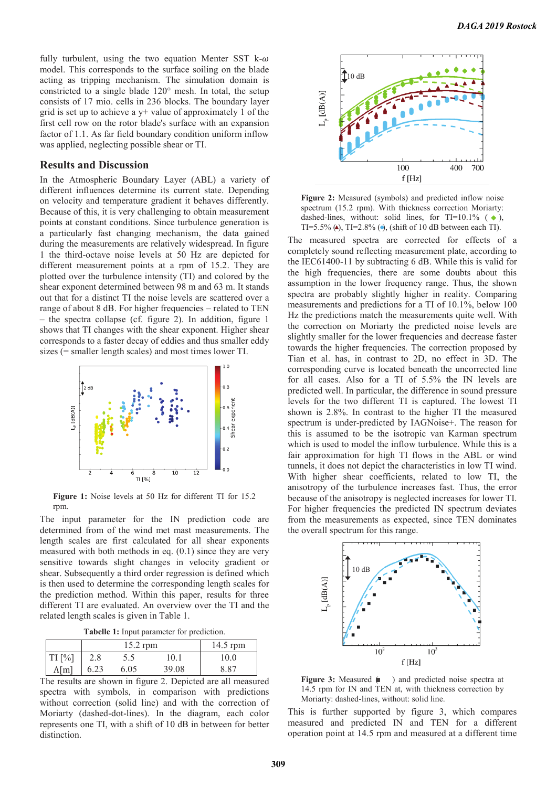fully turbulent, using the two equation Menter SST k- $\omega$ model. This corresponds to the surface soiling on the blade acting as tripping mechanism. The simulation domain is constricted to a single blade 120° mesh. In total, the setup consists of 17 mio. cells in 236 blocks. The boundary layer grid is set up to achieve a  $y$ + value of approximately 1 of the first cell row on the rotor blade's surface with an expansion factor of 1.1. As far field boundary condition uniform inflow was applied, neglecting possible shear or TI.

# **Results and Discussion**

In the Atmospheric Boundary Layer (ABL) a variety of different influences determine its current state. Depending on velocity and temperature gradient it behaves differently. Because of this, it is very challenging to obtain measurement points at constant conditions. Since turbulence generation is a particularly fast changing mechanism, the data gained during the measurements are relatively widespread. In figure 1 the third-octave noise levels at 50 Hz are depicted for different measurement points at a rpm of 15.2. They are plotted over the turbulence intensity (TI) and colored by the shear exponent determined between 98 m and 63 m. It stands out that for a distinct TI the noise levels are scattered over a range of about 8 dB. For higher frequencies – related to TEN – the spectra collapse (cf. figure 2). In addition, figure 1 shows that TI changes with the shear exponent. Higher shear corresponds to a faster decay of eddies and thus smaller eddy sizes (= smaller length scales) and most times lower TI.



**Figure 1:** Noise levels at 50 Hz for different TI for 15.2 rpm.

The input parameter for the IN prediction code are determined from of the wind met mast measurements. The length scales are first calculated for all shear exponents measured with both methods in eq. (0.1) since they are very sensitive towards slight changes in velocity gradient or shear. Subsequently a third order regression is defined which is then used to determine the corresponding length scales for the prediction method. Within this paper, results for three different TI are evaluated. An overview over the TI and the related length scales is given in Table 1.

**Tabelle 1:** Input parameter for prediction.

|               | $15.2$ rpm |      |       | 14.5 rpm |
|---------------|------------|------|-------|----------|
| $TI$ [%]      | 2.8        | 5.5  | 10.1  | 10.0     |
| $\Lambda$ [m] | 6.23       | 6.05 | 39.08 | 8.87     |

The results are shown in figure 2. Depicted are all measured spectra with symbols, in comparison with predictions without correction (solid line) and with the correction of Moriarty (dashed-dot-lines). In the diagram, each color represents one TI, with a shift of 10 dB in between for better distinction.



**Figure 2:** Measured (symbols) and predicted inflow noise spectrum (15.2 rpm). With thickness correction Moriarty: dashed-lines, without: solid lines, for TI=10.1% ( $\leftrightarrow$ ), TI=5.5% (A), TI=2.8% ( $\bullet$ ), (shift of 10 dB between each TI).

The measured spectra are corrected for effects of a completely sound reflecting measurement plate, according to the IEC61400-11 by subtracting 6 dB. While this is valid for the high frequencies, there are some doubts about this assumption in the lower frequency range. Thus, the shown spectra are probably slightly higher in reality. Comparing measurements and predictions for a TI of 10.1%, below 100 Hz the predictions match the measurements quite well. With the correction on Moriarty the predicted noise levels are slightly smaller for the lower frequencies and decrease faster towards the higher frequencies. The correction proposed by Tian et al. has, in contrast to 2D, no effect in 3D. The corresponding curve is located beneath the uncorrected line for all cases. Also for a TI of 5.5% the IN levels are predicted well. In particular, the difference in sound pressure levels for the two different TI is captured. The lowest TI shown is 2.8%. In contrast to the higher TI the measured spectrum is under-predicted by IAGNoise+. The reason for this is assumed to be the isotropic van Karman spectrum which is used to model the inflow turbulence. While this is a fair approximation for high TI flows in the ABL or wind tunnels, it does not depict the characteristics in low TI wind. With higher shear coefficients, related to low TI, the anisotropy of the turbulence increases fast. Thus, the error because of the anisotropy is neglected increases for lower TI. For higher frequencies the predicted IN spectrum deviates from the measurements as expected, since TEN dominates the overall spectrum for this range.



Figure 3: Measured  $( )$  and predicted noise spectra at 14.5 rpm for IN and TEN at, with thickness correction by Moriarty: dashed-lines, without: solid line.

This is further supported by figure 3, which compares measured and predicted IN and TEN for a different operation point at 14.5 rpm and measured at a different time